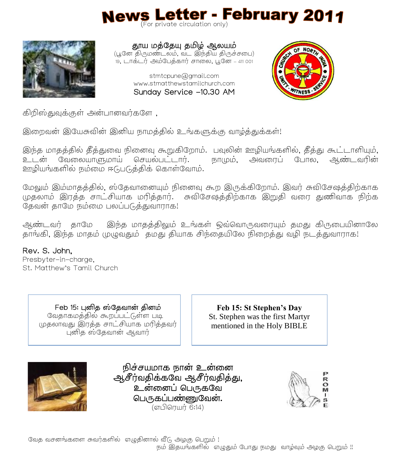# News Letter - February 2011



தூய மத்தேயு தமிழ் ஆலயம் (பூனே திருமணடலம, வட இநதிய திருசசபை) 19, டாக்டர் அம்பேத்கார் சாலை, பூனே – 411 001

> stmtcpune@gmail.com www.stmatthewstamilchurch.com Sunday Service -10.30 AM



கிறிஸ்துவக்குள் அன்பானவர்களே,

இறைவன் இயேசுவின் இனிய நாமத்தில் உங்களுக்கு வாழ்த்துக்கள்!

இந்த மாதத்தில் தீத்துவை நினைவு கூறுகிறோம். பவுலின் ஊழியங்களில், தீத்து கூட்டாளியும், உடன் வேலையாளுமாய் செயல்பட்டார். நாமும், அவரைப் போல, ஆண்டவரின் ஊழியங்களில் நம்மை ஈடுபடுத்திக் கொள்வோம்.

மேலும் இம்மாகக்கில், ஸ்கேவானையும் நினைவு கூற இருக்கிறோம். இவர் சுவிசேஷக்கிற்காக முதலாம் இரத்த சாட்சியாக மரித்தார். சுவிசேஷத்திற்காக இறுதி வரை துணிவாக நிற்க .<br>தேவன் காமே நம்மை பலப்படுக்குவாராக!

ஆண்டவர் தாமே இந்த மாதத்திலும் உங்கள் ஒவ்வொருவரையும் தமது கிருபையினாலே காங்கி, இந்த மாகம் முழுவதும் ` கமது கியாக சிந்தையிலே நிறைத்து வழி நடக்துவாராக!

 $\overline{a}$ 

Rev. S. John, Presbyter-in-charge, St. Matthew's Tamil Church

> Feb வேதாகமத்தில் கூறப்பட்டுள்ள படி முதலாவது இரத்த சாட்சியாக மரித்தவர் புனித ஸ்தேவான் ஆவார்

**Feb 15: St Stephen's Day** St. Stephen was the first Martyr mentioned in the Holy BIBLE



நிச்சயமாக நான் உன்னை ஆசீர்வதிக்கவே ஆசீர்வதித்து, உன்னைப் பெருகவே பெருகப்பண்ணுவேன். (எபிளயர் 6:14)

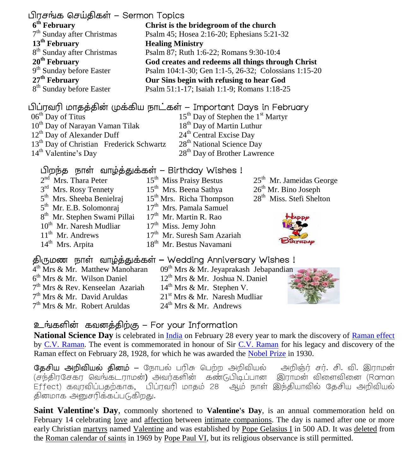#### பிரசங்க செய்திகள் – Sermon Topics

**6 th February** 7<sup>th</sup> Sunday after Christmas **13th February** 8<sup>th</sup> Sunday after Christmas **20th February** 9<sup>th</sup> Sunday before Easter **27th February** 8<sup>th</sup> Sunday before Easter

#### பிப்ரவரி மாதத்தின் முக்கிய நாட்கள் – Important Days in February

**Healing Ministry**

06<sup>th</sup> Day of Titus 10<sup>th</sup> Day of Narayan Vaman Tilak 12<sup>th</sup> Day of Alexander Duff 13<sup>th</sup> Day of Christian Frederick Schwartz 14<sup>th</sup> Valentine's Day

15<sup>th</sup> Day of Stephen the 1<sup>st</sup> Martyr 18<sup>th</sup> Day of Martin Luthur 24<sup>th</sup> Central Excise Day 28<sup>th</sup> National Science Day 28<sup>th</sup> Day of Brother Lawrence

**God creates and redeems all things through Christ** Psalm 104:1-30; Gen 1:1-5, 26-32; Colossians 1:15-20

**Christ is the bridegroom of the church** Psalm 45; Hosea 2:16-20; Ephesians 5:21-32

Psalm 87; Ruth 1:6-22; Romans 9:30-10:4

**Our Sins begin with refusing to hear God** Psalm 51:1-17; Isaiah 1:1-9; Romans 1:18-25

#### பிறந்த நாள் வாழ்த்துக்கள் – Birthday Wishes !

2<sup>nd</sup> Mrs. Thara Peter 3<sup>rd</sup> Mrs. Rosy Tennety 5<sup>th</sup> Mrs. Sheeba Benielraj 5<sup>th</sup> Mr. E.B. Solomonraj 8<sup>th</sup> Mr. Stephen Swami Pillai 10<sup>th</sup> Mr. Naresh Mudliar 11<sup>th</sup> Mr. Andrews 14<sup>th</sup> Mrs. Arpita

15<sup>th</sup> Miss Praisy Bestus 15<sup>th</sup> Mrs. Beena Sathya 15<sup>th</sup> Mrs. Richa Thompson 17<sup>th</sup> Mrs. Pamala Samuel 17<sup>th</sup> Mr. Martin R. Rao 17<sup>th</sup> Miss. Jemy John 17<sup>th</sup> Mr. Suresh Sam Azariah 18<sup>th</sup> Mr. Bestus Navamani

25<sup>th</sup> Mr. Jameidas George

26th Mr. Bino Joseph

28<sup>th</sup> Miss. Stefi Shelton



#### **–** Wedding Anniversary Wishes !

4 th Mrs & Mr. Matthew Manoharan 6 th Mrs & Mr. Wilson Daniel 7<sup>th</sup> Mrs & Rev. Kenseelan Azariah 7<sup>th</sup> Mrs & Mr. David Aruldas 7 th Mrs & Mr. Robert Aruldas

09<sup>th</sup> Mrs & Mr. Jeyaprakash Jebap[an](http://images.google.co.in/imgres?imgurl=http://www.theflowerexpert.com/media/images/giftflowers/flowersandoccassions/anniversaryflowergift/pink-roses.jpg&imgrefurl=http://www.theflowerexpert.com/content/giftflowers/flowersandoccassions/anniversary-flower-gift&usg=__pSLFa_UuFQgDniZgksXMWvQE2cY=&h=345&w=322&sz=16&hl=en&start=55&um=1&tbnid=ri6JylbUNuNG0M:&tbnh=120&tbnw=112&prev=/images%3Fq%3Dwedding%2Banniversary%26start%3D40%26ndsp%3D20%26um%3D1%26hl%3Den%26sa%3DN)dian 12th Mrs & Mr. Joshua N. Daniel  $14^{th}$  Mrs & Mr. Stephen V. 21<sup>st</sup> Mrs & Mr. Naresh Mudliar  $24<sup>th</sup>$  Mrs & Mr. Andrews



#### உங்களின் கவனத்திற்கு – For your Information

National Science Day is celebrated in [India](http://en.wikipedia.org/wiki/India) on February 28 every year to mark the discovery of [Raman effect](http://en.wikipedia.org/wiki/Raman_effect) by [C.V. Raman.](http://en.wikipedia.org/wiki/C.V._Raman) The event is commemorated in honour of Sir [C.V. Raman](http://en.wikipedia.org/wiki/C.V._Raman) for his legacy and discovery of the Raman effect on February 28, 1928, for which he was awarded the [Nobel Prize](http://en.wikipedia.org/wiki/Nobel_Prize) in 1930.

**தேசிய அறிவியல் தினம் –** நோபல் பரிசு பெற்ற அறிவியல் அறிஞ்ர் சர். சி. வி. இராமன் .<br>(சந்திரசேகர வெங்கடராமன்) அவர்களின் கண்டுபிடிப்பான இராமன் விளைவினை (Raman) .<br>Effect) கவுரவிப்பதற்காக, பிப்ரவரி மாதம் 28 ஆம் நாள் இந்தியாவில் கேசிய அறிவியல் தினமாக அனுசரிக்கப்படுகிறது.

**Saint Valentine's Day**, commonly shortened to **Valentine's Day**, is an annual commemoration held on February 14 celebrating [love](http://en.wikipedia.org/wiki/Love) and [affection](http://en.wikipedia.org/wiki/Affection) between [intimate companions.](http://en.wikipedia.org/wiki/Intimate_relationship) The day is named after one or more early Christian [martyrs](http://en.wikipedia.org/wiki/Martyr) named [Valentine](http://en.wikipedia.org/wiki/Saint_Valentine) and was established by [Pope Gelasius I](http://en.wikipedia.org/wiki/Pope_Gelasius_I) in 500 AD. It was [deleted](http://en.wikipedia.org/wiki/Mysterii_Paschalis) from the [Roman calendar of saints](http://en.wikipedia.org/wiki/Roman_calendar_of_saints) in 1969 by [Pope Paul VI,](http://en.wikipedia.org/wiki/Pope_Paul_VI) but its religious observance is still permitted.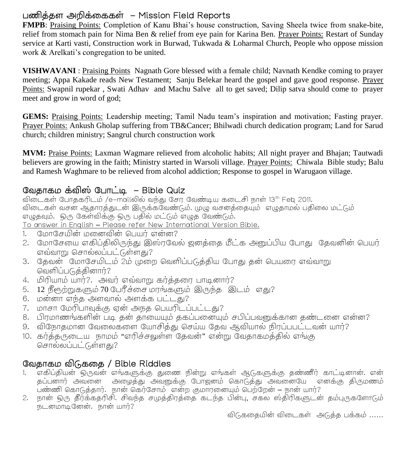#### பணித்தள அறிக்கைகள் – Mission Field Reports

**FMPB**: Praising Points: Completion of Kanu Bhai's house construction, Saving Sheela twice from snake-bite, relief from stomach pain for Nima Ben & relief from eye pain for Karina Ben. Prayer Points: Restart of Sunday service at Karti vasti, Construction work in Burwad, Tukwada & Loharmal Church, People who oppose mission work & Arelkati's congregation to be united.

**VISHWAVANI** : Praising PointsNagnath Gore blessed with a female child; Navnath Kendke coming to prayer meeting; Appa Kakade reads New Testament; Sanju Belekar heard the gospel and gave good response. Prayer Points: Swapnil rupekar , Swati Adhav and Machu Salve all to get saved; Dilip satva should come to prayer meet and grow in word of god;

**GEMS:** Praising Points: Leadership meeting; Tamil Nadu team's inspiration and motivation; Fasting prayer. Prayer Points: Ankush Gholap suffering from TB&Cancer; Bhilwadi church dedication program; Land for Sarud church; children ministry; Sangrul church construction work

**MVM:** Praise Points: Laxman Wagmare relieved from alcoholic habits; All night prayer and Bhajan; Tautwadi believers are growing in the faith; Ministry started in Warsoli village. Prayer Points: Chiwala Bible study; Balu and Ramesh Waghmare to be relieved from alcohol addiction; Response to gospel in Warugaon village.

#### வேதாகம் கவிஸ் போட்டி – Bible Quiz

விடைகள் போதகரிடம் /e-mailலில் வந்து சேர வேண்டிய கடைசி நாள் 13<sup>th</sup> Feb 2011. விடைகள் வசன ஆதாரத்துடன் இருக்கவேண்டும். முழு வசனத்தையும் எழுதாமல் பதிலை மட்டும் .<br>எழுதவும். ஒரு கேள்விக்கு ஒரு பதில் மட்டும் எழுத வேண்டும்.

To answer in English – Please refer New International Version Bible.

- 1. மோசேயின் மனைவின் பெயர் என்ன?
- 2. மோசேயை எகிப்திலிருந்து இஸ்ரவேல் ஜனத்தை மீட்க அனுப்பிய போது தேவனின் பெயர் எவ்வாறு சொல்லப்பட்டுள்ளது?
- 3. கேவன் மோசேயிடம் 2ம் முறை வெளிப்படுக்கிய போகு கன் பெயரை எவ்வாறு வெளிப்படுத்தினார்?
- 4. ? ?
- 5. 12 நீரூற்றுகளும் 70 பேரீச்சை மரங்களும் இருந்த இடம் எது?
- $6.$  மன்னா எந்த அளவால் அளக்க பட்டது?
- $7.$   $\mu$ п $\sigma$ п  $\alpha$ ю п $\mu$ п $\alpha$ а об это это општ $\mu$  п $\mu$
- 8. பிரமாணங்களின் படி கன் காயையும் ககப்பனையும் சபிப்பவனுக்கான கண்டனை என்ன?
- 9. விநோதமான வேலைகளை யோசித்து செய்ய தேவ ஆவியால நிரப்பபட்டவன் யார்?
- 10. கர்த்தருடைய நாமம் "எரிச்சவுள்ள தேவன்" என்று வேதாகமத்தில் எங்கு சொல்லப்பட்டுள்ளது?

#### / Bible Riddles

- 1. எகிப்தியன் ஒருவன் எங்களுக்கு துணை நின்று எங்கள் ஆடுகளுக்கு தண்ணீர் காட்டினான். என் தப்பனார் அவனை அழைத்து அவனுக்கு போஜனம் கொடுத்து அவனையே எனக்கு திருமணம் .<br>பண்ணி கொடுத்தார். நான் கெர்சோம் என்ற குமாரனையும் பெற்றேன் – நான் யார்?<br> நான் ஒரு தீர்க்கதரிசி. சிவந்த சமுத்திரத்தை கடந்த பின்பு, சகல ஸ்திரிகளுடன் தம்புருகளோடும்
- 2. நடனமாடினேன். நான் யார்?

விடுகதையின் விடைகள் அடுத்த பக்கம் ……